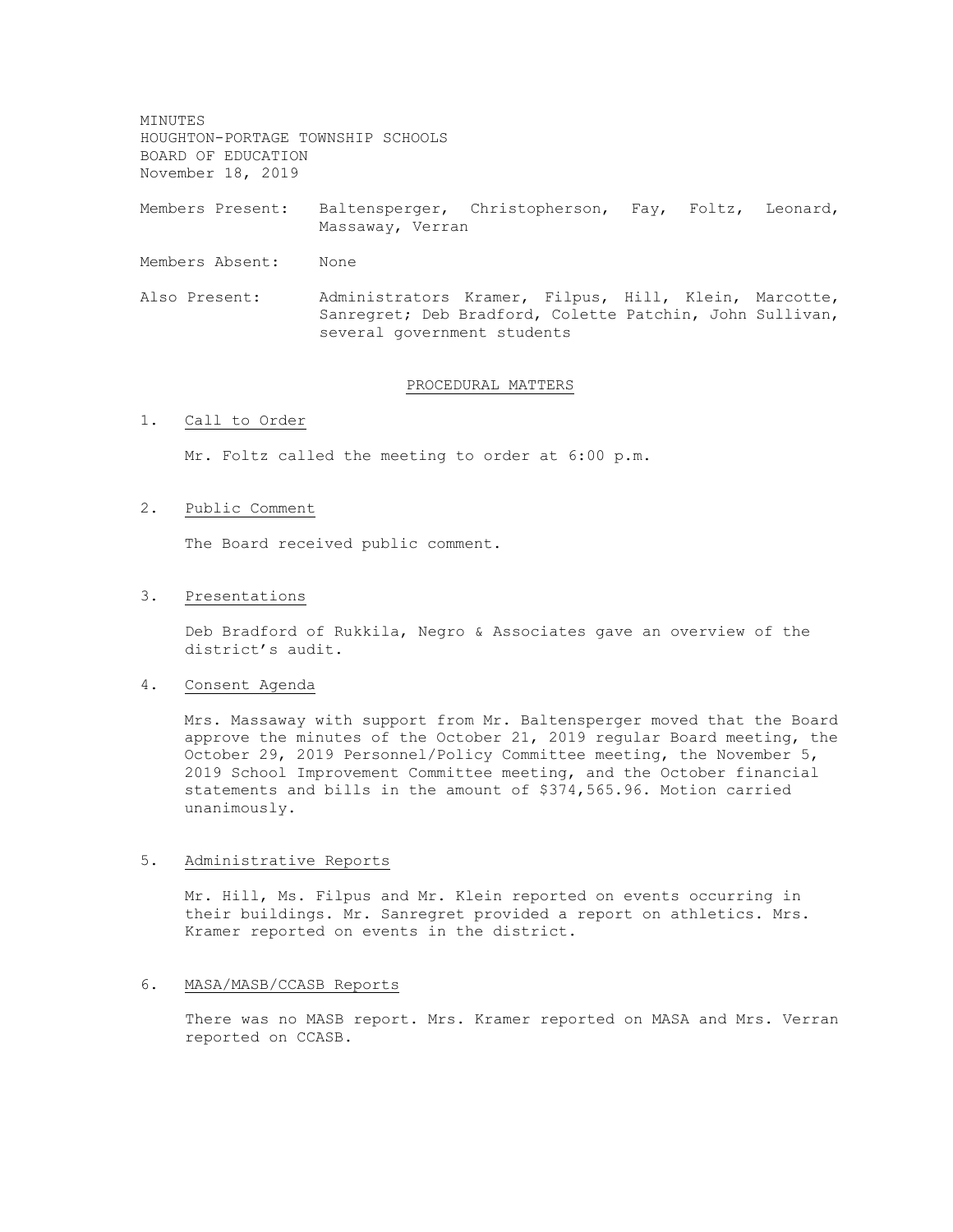MINUTES HOUGHTON-PORTAGE TOWNSHIP SCHOOLS BOARD OF EDUCATION November 18, 2019

Members Present: Baltensperger, Christopherson, Fay, Foltz, Leonard, Massaway, Verran

- Members Absent: None
- Also Present: Administrators Kramer, Filpus, Hill, Klein, Marcotte, Sanregret; Deb Bradford, Colette Patchin, John Sullivan, several government students

#### PROCEDURAL MATTERS

# 1. Call to Order

Mr. Foltz called the meeting to order at 6:00 p.m.

### 2. Public Comment

The Board received public comment.

#### 3. Presentations

Deb Bradford of Rukkila, Negro & Associates gave an overview of the district's audit.

#### 4. Consent Agenda

Mrs. Massaway with support from Mr. Baltensperger moved that the Board approve the minutes of the October 21, 2019 regular Board meeting, the October 29, 2019 Personnel/Policy Committee meeting, the November 5, 2019 School Improvement Committee meeting, and the October financial statements and bills in the amount of \$374,565.96. Motion carried unanimously.

#### 5. Administrative Reports

Mr. Hill, Ms. Filpus and Mr. Klein reported on events occurring in their buildings. Mr. Sanregret provided a report on athletics. Mrs. Kramer reported on events in the district.

# 6. MASA/MASB/CCASB Reports

There was no MASB report. Mrs. Kramer reported on MASA and Mrs. Verran reported on CCASB.